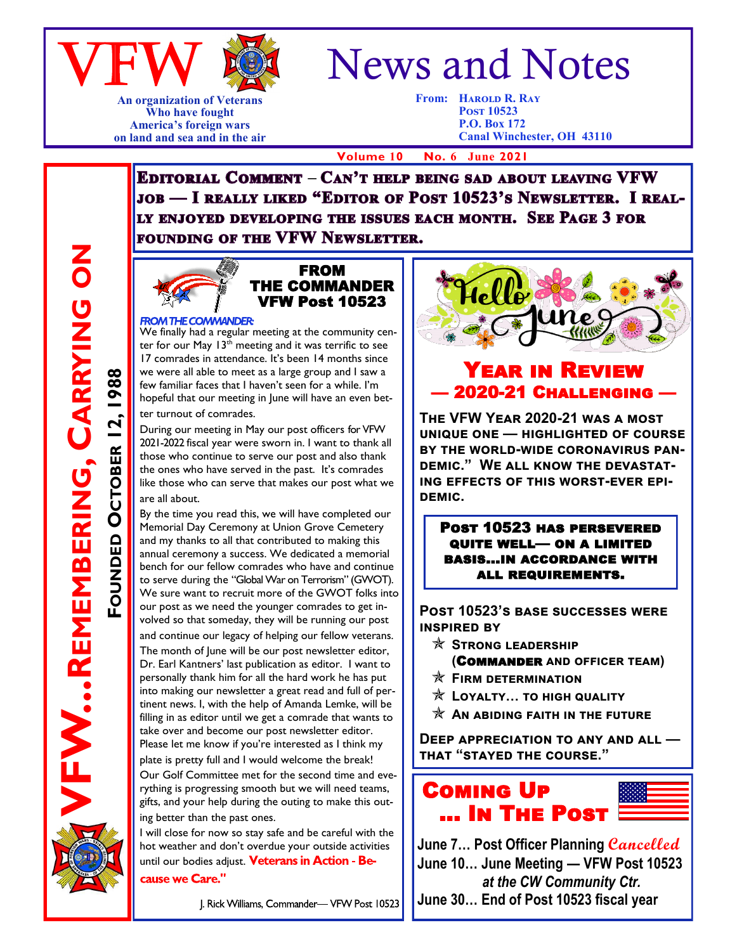

**An organization of Veterans Who have fought America's foreign wars on land and sea and in the air**

# News and Notes

**From: Harold R. Ray Post 10523 P.O. Box 172 Canal Winchester, OH 43110**

 **Volume 10 No. 6 June 2021**

**EDITORIAL COMMENT - CAN'T HELP BEING SAD ABOUT LEAVING VFW JOB — I REALLY LIKED "EDITOR OF POST 10523'S NEWSLETTER. I REAL-**LY ENJOYED DEVELOPING THE ISSUES EACH MONTH. SEE PAGE 3 FOR FOUNDING OF THE VFW NEWSLETTER.



FW...REMEMBERING, CARRYING ON

**REMEMBERING, CARRYING ON**

**FOUNDED**

**OCTOBER 12, 1988**

OCTOBER 12,

1988

#### FROM THE COMMANDER VFW Post 10523

FROM THE COMMANDER:<br>We finally had a regular meeting at the community center for our May  $13<sup>th</sup>$  meeting and it was terrific to see 17 comrades in attendance. It's been 14 months since we were all able to meet as a large group and I saw a few familiar faces that I haven't seen for a while. I'm hopeful that our meeting in June will have an even better turnout of comrades.

During our meeting in May our post officers for VFW 2021-2022 fiscal year were sworn in. I want to thank all those who continue to serve our post and also thank the ones who have served in the past. It's comrades like those who can serve that makes our post what we are all about.

By the time you read this, we will have completed our Memorial Day Ceremony at Union Grove Cemetery and my thanks to all that contributed to making this annual ceremony a success. We dedicated a memorial bench for our fellow comrades who have and continue to serve during the "Global War on Terrorism" (GWOT). We sure want to recruit more of the GWOT folks into our post as we need the younger comrades to get involved so that someday, they will be running our post and continue our legacy of helping our fellow veterans. The month of June will be our post newsletter editor, Dr. Earl Kantners' last publication as editor. I want to personally thank him for all the hard work he has put into making our newsletter a great read and full of pertinent news. I, with the help of Amanda Lemke, will be filling in as editor until we get a comrade that wants to take over and become our post newsletter editor. Please let me know if you're interested as I think my

plate is pretty full and I would welcome the break! Our Golf Committee met for the second time and everything is progressing smooth but we will need teams, gifts, and your help during the outing to make this outing better than the past ones.

I will close for now so stay safe and be careful with the hot weather and don't overdue your outside activities until our bodies adiust. Veterans in Action - Be-

cause we Care."

J. Rick Williams, Commander-VFW Post 10523



### Year in Review — 2020-21 Challenging —

**The VFW Year 2020-21 was a most unique one — highlighted of course by the world-wide coronavirus pandemic." We all know the devastating effects of this worst-ever epidemic.**

Post 10523 has persevered quite well— on a limited basis…in accordance with all requirements.

**Post 10523's base successes were inspired by** 

- **Strong leadership** 
	- **(**Commander **and officer team)**
- **Firm determination**
- **Loyalty… to high quality**
- $\mathbf{\hat{x}}$  An abiding faith in the future

**Deep appreciation to any and all that "stayed the course."**



**June 7… Post Officer Planning Cancelled June 10… June Meeting — VFW Post 10523** *at the CW Community Ctr.* **June 30… End of Post 10523 fiscal year**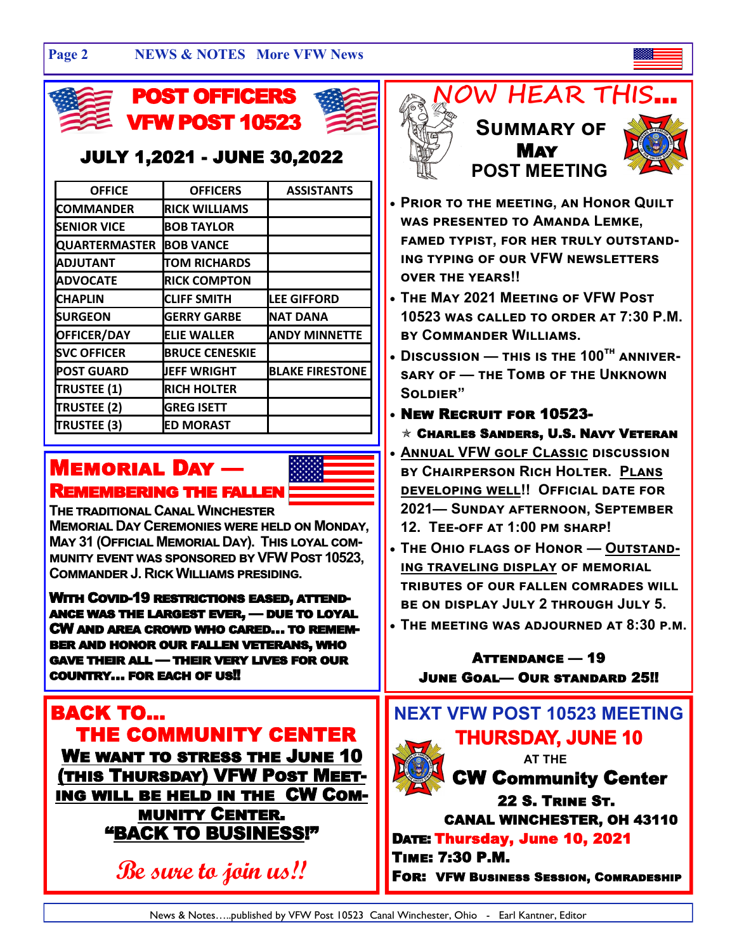#### **Page 2 NEWS & NOTES More VFW News**





### JULY 1,2021 - JUNE 30,2022

| <b>OFFICE</b>        | <b>OFFICERS</b>       | <b>ASSISTANTS</b>      |
|----------------------|-----------------------|------------------------|
| <b>COMMANDER</b>     | <b>RICK WILLIAMS</b>  |                        |
| <b>SENIOR VICE</b>   | <b>BOB TAYLOR</b>     |                        |
| <b>QUARTERMASTER</b> | <b>BOB VANCE</b>      |                        |
| <b>ADJUTANT</b>      | <b>TOM RICHARDS</b>   |                        |
| <b>ADVOCATE</b>      | <b>RICK COMPTON</b>   |                        |
| <b>CHAPLIN</b>       | <b>CLIFF SMITH</b>    | <b>LEE GIFFORD</b>     |
| <b>SURGEON</b>       | <b>GERRY GARBE</b>    | <b>NAT DANA</b>        |
| OFFICER/DAY          | <b>ELIE WALLER</b>    | <b>ANDY MINNETTE</b>   |
| <b>SVC OFFICER</b>   | <b>BRUCE CENESKIE</b> |                        |
| <b>POST GUARD</b>    | <b>JEFF WRIGHT</b>    | <b>BLAKE FIRESTONE</b> |
| <b>TRUSTEE (1)</b>   | <b>RICH HOLTER</b>    |                        |
| <b>TRUSTEE (2)</b>   | <b>GREG ISETT</b>     |                        |
| <b>TRUSTEE (3)</b>   | <b>ED MORAST</b>      |                        |

### Memorial Day — Remembering the fallen



**The traditional Canal Winchester** 

**Memorial Day Ceremonies were held on Monday, May 31 (Official Memorial Day). This loyal community event was sponsored by VFW Post 10523, Commander J. Rick Williams presiding.**

With Covid-19 restrictions eased, attendance was the largest ever, — due to loyal CW and area crowd who cared… to remember and honor our fallen veterans, who gave their all — their very lives for our country… for each of us!!

BACK TO… THE COMMUNITY CENTER We want to stress the June 10 (this Thursday) VFW Post Meeting will be held in the CW Community Center. "BACK TO BUSINESS!"

**Be sure to join us!!**





• **Prior to the meeting, an Honor Quilt was presented to Amanda Lemke, famed typist, for her truly outstanding typing of our VFW newsletters over the years!!**

May

- **The May 2021 Meeting of VFW Post 10523 was called to order at 7:30 P.M. by Commander Williams.**
- **Discussion — this is the 100th anniversary of — the Tomb of the Unknown Soldier"**
- New Recruit for 10523-
- $\star$  Charles Sanders, U.S. Navy Veteran
- **Annual VFW golf Classic discussion by Chairperson Rich Holter. Plans developing well!! Official date for 2021— Sunday afternoon, September 12. Tee-off at 1:00 pm sharp!**
- **The Ohio flags of Honor — Outstanding traveling display of memorial tributes of our fallen comrades will be on display July 2 through July 5.**
- **The meeting was adjourned at 8:30 p.m.**

Attendance — 19 June Goal— Our standard 25!!